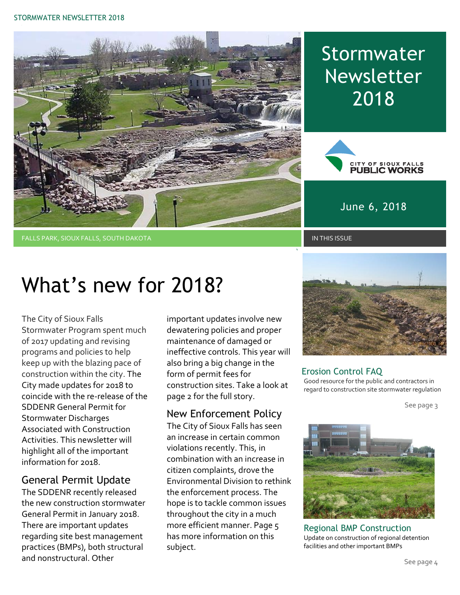

## Stormwater Newsletter 2018



June 6, 2018

#### FALLS PARK, SIOUX FALLS, SOUTH DAKOTA IN THIS ISSUE IN THIS ISSUE IN THIS ISSUE IN THIS ISSUE

# What's new for 2018?

The City of Sioux Falls Stormwater Program spent much of 2017 updating and revising programs and policies to help keep up with the blazing pace of construction within the city. The City made updates for 2018 to coincide with the re-release of the SDDENR General Permit for Stormwater Discharges Associated with Construction Activities. This newsletter will highlight all of the important information for 2018.

#### General Permit Update

The SDDENR recently released the new construction stormwater General Permit in January 2018. There are important updates regarding site best management practices (BMPs), both structural and nonstructural. Other

important updates involve new dewatering policies and proper maintenance of damaged or ineffective controls. This year will also bring a big change in the form of permit fees for construction sites. Take a look at page 2 for the full story.

#### New Enforcement Policy

The City of Sioux Falls has seen an increase in certain common violations recently. This, in combination with an increase in citizen complaints, drove the Environmental Division to rethink the enforcement process. The hope is to tackle common issues throughout the city in a much more efficient manner. Page 5 has more information on this subject.



#### Erosion Control FAQ

Good resource for the public and contractors in regard to construction site stormwater regulation

See page 3



Regional BMP Construction Update on construction of regional detention facilities and other important BMPs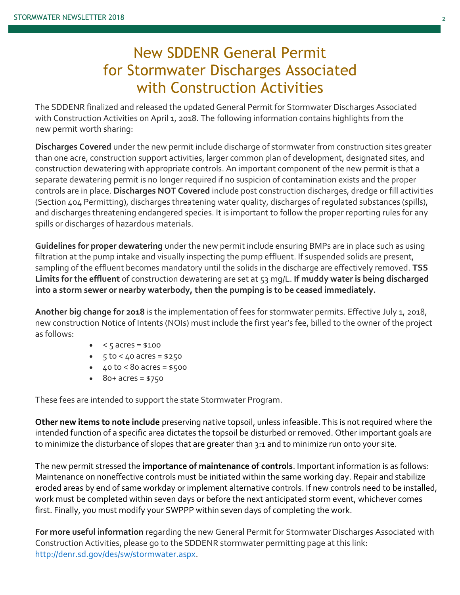### New SDDENR General Permit for Stormwater Discharges Associated with Construction Activities

The SDDENR finalized and released the updated General Permit for Stormwater Discharges Associated with Construction Activities on April 1, 2018. The following information contains highlights from the new permit worth sharing:

**Discharges Covered** under the new permit include discharge of stormwater from construction sites greater than one acre, construction support activities, larger common plan of development, designated sites, and construction dewatering with appropriate controls. An important component of the new permit is that a separate dewatering permit is no longer required if no suspicion of contamination exists and the proper controls are in place. **Discharges NOT Covered** include post construction discharges, dredge or fill activities (Section 404 Permitting), discharges threatening water quality, discharges of regulated substances (spills), and discharges threatening endangered species. It is important to follow the proper reporting rules for any spills or discharges of hazardous materials.

**Guidelines for proper dewatering** under the new permit include ensuring BMPs are in place such as using filtration at the pump intake and visually inspecting the pump effluent. If suspended solids are present, sampling of the effluent becomes mandatory until the solids in the discharge are effectively removed. **TSS Limits for the effluent** of construction dewatering are set at 53 mg/L. **If muddy water is being discharged into a storm sewer or nearby waterbody, then the pumping is to be ceased immediately.**

**Another big change for 2018** is the implementation of fees for stormwater permits. Effective July 1, 2018, new construction Notice of Intents (NOIs) must include the first year's fee, billed to the owner of the project as follows:

- $\bullet \quad < 5 \text{ acres} = $100$
- $\bullet$  5 to < 40 acres = \$250
- $40 to < 80$  acres = \$500
- $\bullet$  80+ acres = \$750

These fees are intended to support the state Stormwater Program.

**Other new items to note include** preserving native topsoil, unless infeasible. This is not required where the intended function of a specific area dictates the topsoil be disturbed or removed. Other important goals are to minimize the disturbance of slopes that are greater than 3:1 and to minimize run onto your site.

The new permit stressed the **importance of maintenance of controls**. Important information is as follows: Maintenance on noneffective controls must be initiated within the same working day. Repair and stabilize eroded areas by end of same workday or implement alternative controls. If new controls need to be installed, work must be completed within seven days or before the next anticipated storm event, whichever comes first. Finally, you must modify your SWPPP within seven days of completing the work.

**For more useful information** regarding the new General Permit for Stormwater Discharges Associated with Construction Activities, please go to the SDDENR stormwater permitting page at this link: http://denr.sd.gov/des/sw/stormwater.aspx.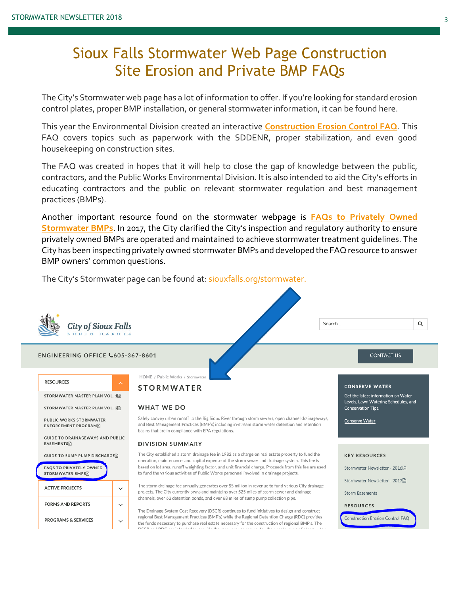#### Sioux Falls Stormwater Web Page Construction Site Erosion and Private BMP FAQs

The City's Stormwater web page has a lot of information to offer. If you're looking for standard erosion control plates, proper BMP installation, or general stormwater information, it can be found here.

This year the Environmental Division created an interactive **[Construction Erosion Control FAQ](http://siouxfalls.org/public-works/environmental-recycling-hazardous/construct-erosion-control-faq)**. This FAQ covers topics such as paperwork with the SDDENR, proper stabilization, and even good housekeeping on construction sites.

The FAQ was created in hopes that it will help to close the gap of knowledge between the public, contractors, and the Public Works Environmental Division. It is also intended to aid the City's efforts in educating contractors and the public on relevant stormwater regulation and best management practices (BMPs).

Another important resource found on the stormwater webpage is **FAQs to Privately Owned Stormwater BMPs**. In 2017, the City clarified the City's inspection and regulatory authority to ensure privately owned BMPs are operated and maintained to achieve stormwater treatment guidelines. The City has been inspecting privately owned stormwater BMPs and developed the FAQ resource to answer BMP owners' common questions.

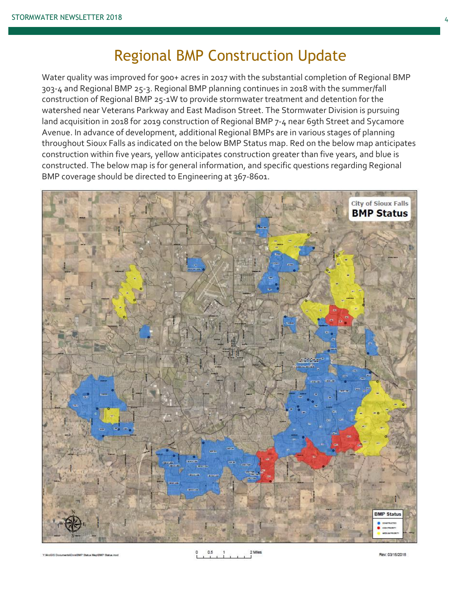#### Regional BMP Construction Update

Water quality was improved for 900+ acres in 2017 with the substantial completion of Regional BMP 303-4 and Regional BMP 25-3. Regional BMP planning continues in 2018 with the summer/fall construction of Regional BMP 25-1W to provide stormwater treatment and detention for the watershed near Veterans Parkway and East Madison Street. The Stormwater Division is pursuing land acquisition in 2018 for 2019 construction of Regional BMP 7-4 near 69th Street and Sycamore Avenue. In advance of development, additional Regional BMPs are in various stages of planning throughout Sioux Falls as indicated on the below BMP Status map. Red on the below map anticipates construction within five years, yellow anticipates construction greater than five years, and blue is constructed. The below map is for general information, and specific questions regarding Regional BMP coverage should be directed to Engineering at 367-8601.

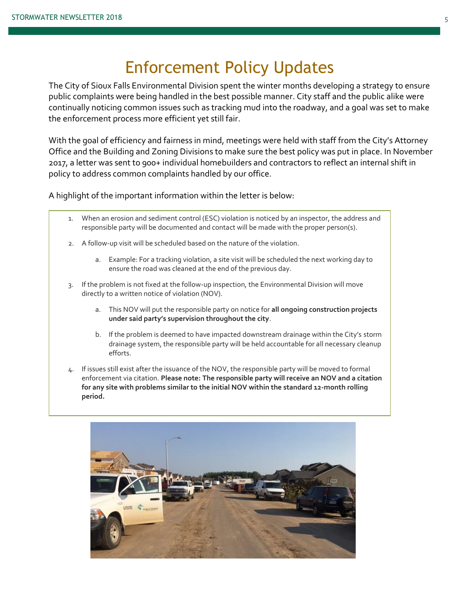## Enforcement Policy Updates

The City of Sioux Falls Environmental Division spent the winter months developing a strategy to ensure public complaints were being handled in the best possible manner. City staff and the public alike were continually noticing common issues such as tracking mud into the roadway, and a goal was set to make the enforcement process more efficient yet still fair.

With the goal of efficiency and fairness in mind, meetings were held with staff from the City's Attorney Office and the Building and Zoning Divisions to make sure the best policy was put in place. In November 2017, a letter was sent to 900+ individual homebuilders and contractors to reflect an internal shift in policy to address common complaints handled by our office.

A highlight of the important information within the letter is below:

- 1. When an erosion and sediment control (ESC) violation is noticed by an inspector, the address and responsible party will be documented and contact will be made with the proper person(s).
- 2. A follow-up visit will be scheduled based on the nature of the violation.
	- a. Example: For a tracking violation, a site visit will be scheduled the next working day to ensure the road was cleaned at the end of the previous day.
- 3. If the problem is not fixed at the follow-up inspection, the Environmental Division will move directly to a written notice of violation (NOV).
	- a. This NOV will put the responsible party on notice for **all ongoing construction projects under said party's supervision throughout the city**.
	- b. If the problem is deemed to have impacted downstream drainage within the City's storm drainage system, the responsible party will be held accountable for all necessary cleanup efforts.
- 4. If issues still exist after the issuance of the NOV, the responsible party will be moved to formal enforcement via citation. **Please note: The responsible party will receive an NOV and a citation for any site with problems similar to the initial NOV within the standard 12-month rolling period.**